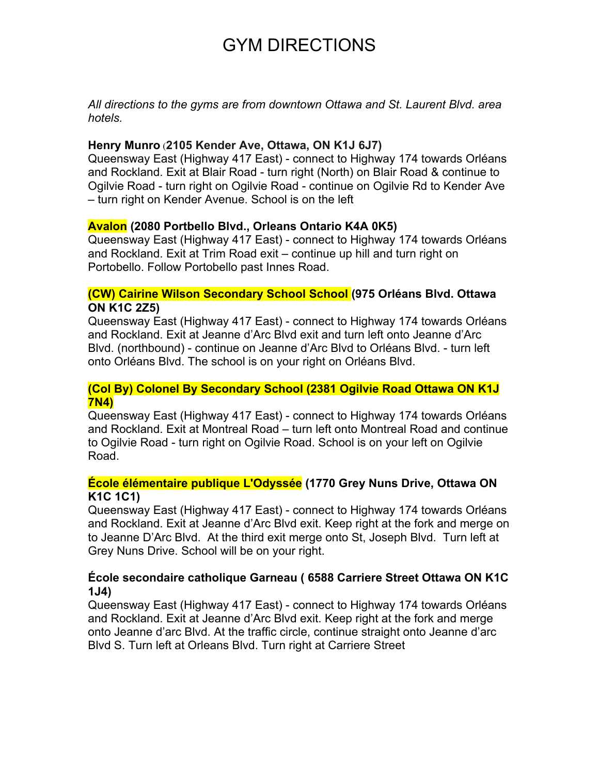# GYM DIRECTIONS

*All directions to the gyms are from downtown Ottawa and St. Laurent Blvd. area hotels.* 

## **Henry Munro** (**2105 Kender Ave, Ottawa, ON K1J 6J7)**

Queensway East (Highway 417 East) - connect to Highway 174 towards Orléans and Rockland. Exit at Blair Road - turn right (North) on Blair Road & continue to Ogilvie Road - turn right on Ogilvie Road - continue on Ogilvie Rd to Kender Ave – turn right on Kender Avenue. School is on the left

### **Avalon (2080 Portbello Blvd., Orleans Ontario K4A 0K5)**

Queensway East (Highway 417 East) - connect to Highway 174 towards Orléans and Rockland. Exit at Trim Road exit – continue up hill and turn right on Portobello. Follow Portobello past Innes Road.

### **(CW) Cairine Wilson Secondary School School (975 Orléans Blvd. Ottawa ON K1C 2Z5)**

Queensway East (Highway 417 East) - connect to Highway 174 towards Orléans and Rockland. Exit at Jeanne d'Arc Blvd exit and turn left onto Jeanne d'Arc Blvd. (northbound) - continue on Jeanne d'Arc Blvd to Orléans Blvd. - turn left onto Orléans Blvd. The school is on your right on Orléans Blvd.

### **(Col By) Colonel By Secondary School (2381 Ogilvie Road Ottawa ON K1J 7N4)**

Queensway East (Highway 417 East) - connect to Highway 174 towards Orléans and Rockland. Exit at Montreal Road – turn left onto Montreal Road and continue to Ogilvie Road - turn right on Ogilvie Road. School is on your left on Ogilvie Road.

# **École élémentaire publique L'Odyssée (1770 Grey Nuns Drive, Ottawa ON K1C 1C1)**

Queensway East (Highway 417 East) - connect to Highway 174 towards Orléans and Rockland. Exit at Jeanne d'Arc Blvd exit. Keep right at the fork and merge on to Jeanne D'Arc Blvd. At the third exit merge onto St, Joseph Blvd. Turn left at Grey Nuns Drive. School will be on your right.

### **École secondaire catholique Garneau ( 6588 Carriere Street Ottawa ON K1C 1J4)**

Queensway East (Highway 417 East) - connect to Highway 174 towards Orléans and Rockland. Exit at Jeanne d'Arc Blvd exit. Keep right at the fork and merge onto Jeanne d'arc Blvd. At the traffic circle, continue straight onto Jeanne d'arc Blvd S. Turn left at Orleans Blvd. Turn right at Carriere Street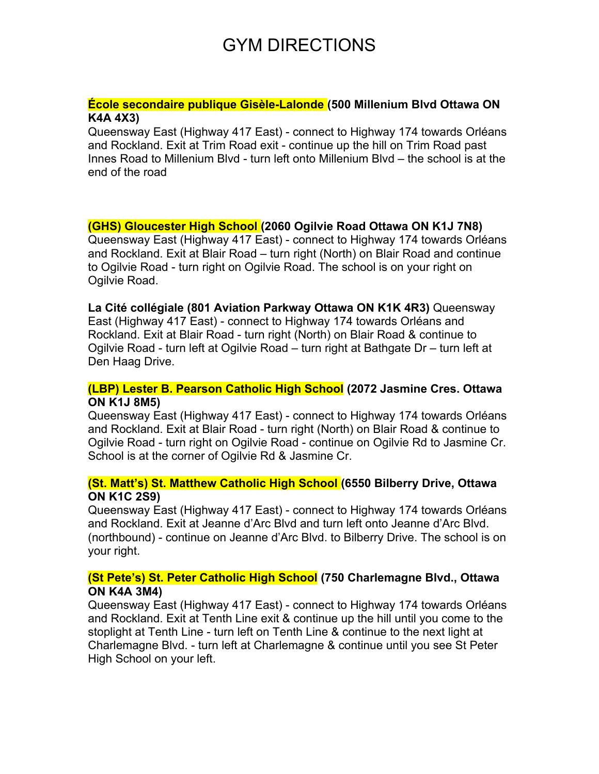# GYM DIRECTIONS

### **École secondaire publique Gisèle-Lalonde (500 Millenium Blvd Ottawa ON K4A 4X3)**

Queensway East (Highway 417 East) - connect to Highway 174 towards Orléans and Rockland. Exit at Trim Road exit - continue up the hill on Trim Road past Innes Road to Millenium Blvd - turn left onto Millenium Blvd – the school is at the end of the road

# **(GHS) Gloucester High School (2060 Ogilvie Road Ottawa ON K1J 7N8)**

Queensway East (Highway 417 East) - connect to Highway 174 towards Orléans and Rockland. Exit at Blair Road – turn right (North) on Blair Road and continue to Ogilvie Road - turn right on Ogilvie Road. The school is on your right on Ogilvie Road.

**La Cité collégiale (801 Aviation Parkway Ottawa ON K1K 4R3)** Queensway East (Highway 417 East) - connect to Highway 174 towards Orléans and Rockland. Exit at Blair Road - turn right (North) on Blair Road & continue to Ogilvie Road - turn left at Ogilvie Road – turn right at Bathgate Dr – turn left at Den Haag Drive.

# **(LBP) Lester B. Pearson Catholic High School (2072 Jasmine Cres. Ottawa ON K1J 8M5)**

Queensway East (Highway 417 East) - connect to Highway 174 towards Orléans and Rockland. Exit at Blair Road - turn right (North) on Blair Road & continue to Ogilvie Road - turn right on Ogilvie Road - continue on Ogilvie Rd to Jasmine Cr. School is at the corner of Ogilvie Rd & Jasmine Cr.

# **(St. Matt's) St. Matthew Catholic High School (6550 Bilberry Drive, Ottawa ON K1C 2S9)**

Queensway East (Highway 417 East) - connect to Highway 174 towards Orléans and Rockland. Exit at Jeanne d'Arc Blvd and turn left onto Jeanne d'Arc Blvd. (northbound) - continue on Jeanne d'Arc Blvd. to Bilberry Drive. The school is on your right.

# **(St Pete's) St. Peter Catholic High School (750 Charlemagne Blvd., Ottawa ON K4A 3M4)**

Queensway East (Highway 417 East) - connect to Highway 174 towards Orléans and Rockland. Exit at Tenth Line exit & continue up the hill until you come to the stoplight at Tenth Line - turn left on Tenth Line & continue to the next light at Charlemagne Blvd. - turn left at Charlemagne & continue until you see St Peter High School on your left.